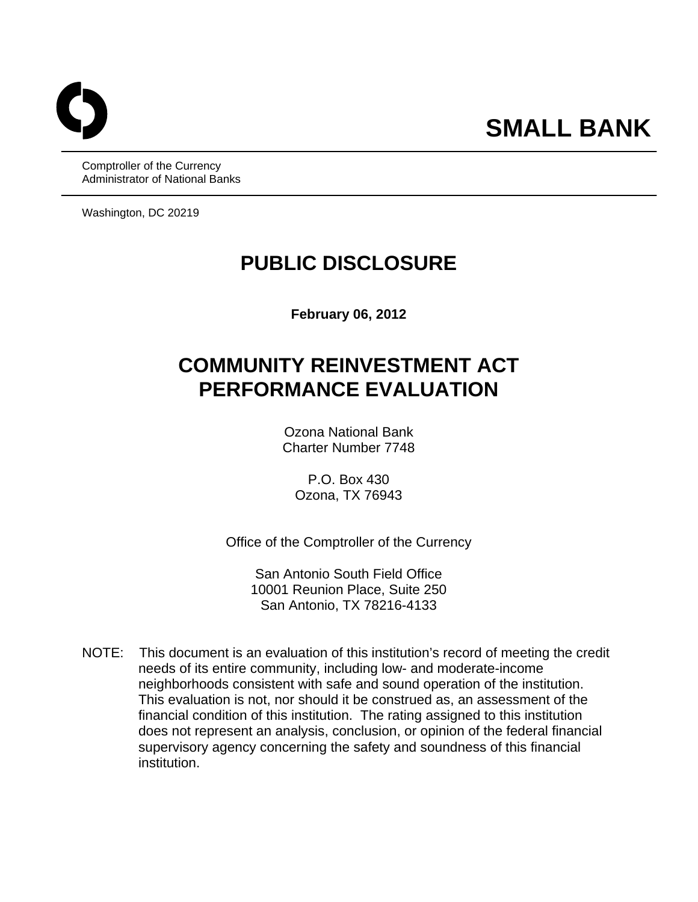Comptroller of the Currency Administrator of National Banks

Washington, DC 20219

# **PUBLIC DISCLOSURE**

**February 06, 2012** 

# **COMMUNITY REINVESTMENT ACT PERFORMANCE EVALUATION**

Ozona National Bank Charter Number 7748

P.O. Box 430 Ozona, TX 76943

Office of the Comptroller of the Currency

San Antonio South Field Office 10001 Reunion Place, Suite 250 San Antonio, TX 78216-4133

NOTE: This document is an evaluation of this institution's record of meeting the credit needs of its entire community, including low- and moderate-income neighborhoods consistent with safe and sound operation of the institution. This evaluation is not, nor should it be construed as, an assessment of the financial condition of this institution. The rating assigned to this institution does not represent an analysis, conclusion, or opinion of the federal financial supervisory agency concerning the safety and soundness of this financial institution.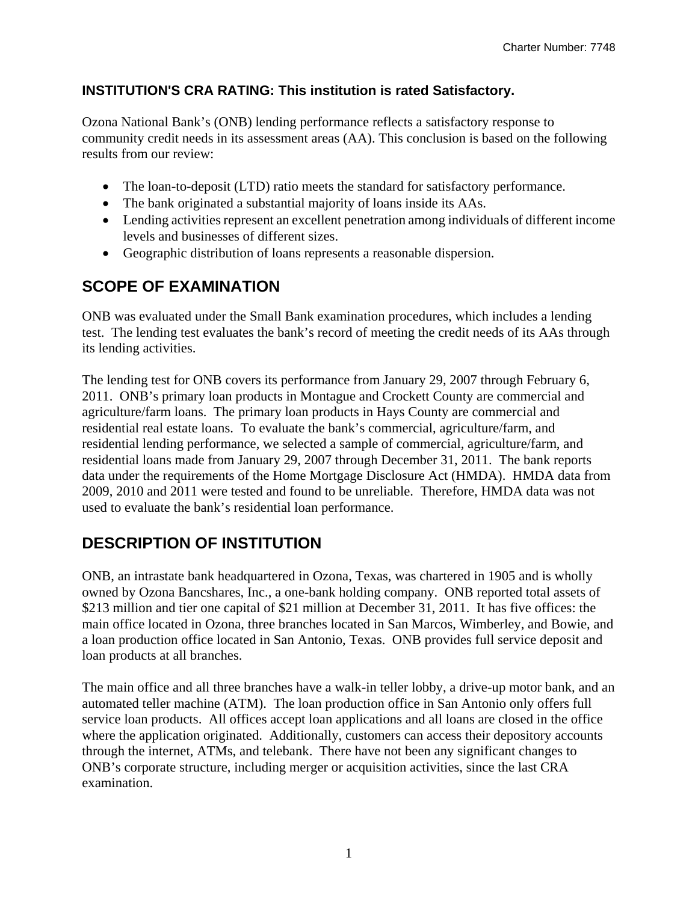# **INSTITUTION'S CRA RATING: This institution is rated Satisfactory.**

Ozona National Bank's (ONB) lending performance reflects a satisfactory response to community credit needs in its assessment areas (AA). This conclusion is based on the following results from our review:

- The loan-to-deposit (LTD) ratio meets the standard for satisfactory performance.
- The bank originated a substantial majority of loans inside its AAs.
- Lending activities represent an excellent penetration among individuals of different income levels and businesses of different sizes.
- Geographic distribution of loans represents a reasonable dispersion.

# **SCOPE OF EXAMINATION**

ONB was evaluated under the Small Bank examination procedures, which includes a lending test. The lending test evaluates the bank's record of meeting the credit needs of its AAs through its lending activities.

The lending test for ONB covers its performance from January 29, 2007 through February 6, 2011. ONB's primary loan products in Montague and Crockett County are commercial and agriculture/farm loans. The primary loan products in Hays County are commercial and residential real estate loans. To evaluate the bank's commercial, agriculture/farm, and residential lending performance, we selected a sample of commercial, agriculture/farm, and residential loans made from January 29, 2007 through December 31, 2011. The bank reports data under the requirements of the Home Mortgage Disclosure Act (HMDA). HMDA data from 2009, 2010 and 2011 were tested and found to be unreliable. Therefore, HMDA data was not used to evaluate the bank's residential loan performance.

# **DESCRIPTION OF INSTITUTION**

ONB, an intrastate bank headquartered in Ozona, Texas, was chartered in 1905 and is wholly owned by Ozona Bancshares, Inc., a one-bank holding company. ONB reported total assets of \$213 million and tier one capital of \$21 million at December 31, 2011. It has five offices: the main office located in Ozona, three branches located in San Marcos, Wimberley, and Bowie, and a loan production office located in San Antonio, Texas. ONB provides full service deposit and loan products at all branches.

The main office and all three branches have a walk-in teller lobby, a drive-up motor bank, and an automated teller machine (ATM). The loan production office in San Antonio only offers full service loan products. All offices accept loan applications and all loans are closed in the office where the application originated. Additionally, customers can access their depository accounts through the internet, ATMs, and telebank. There have not been any significant changes to ONB's corporate structure, including merger or acquisition activities, since the last CRA examination.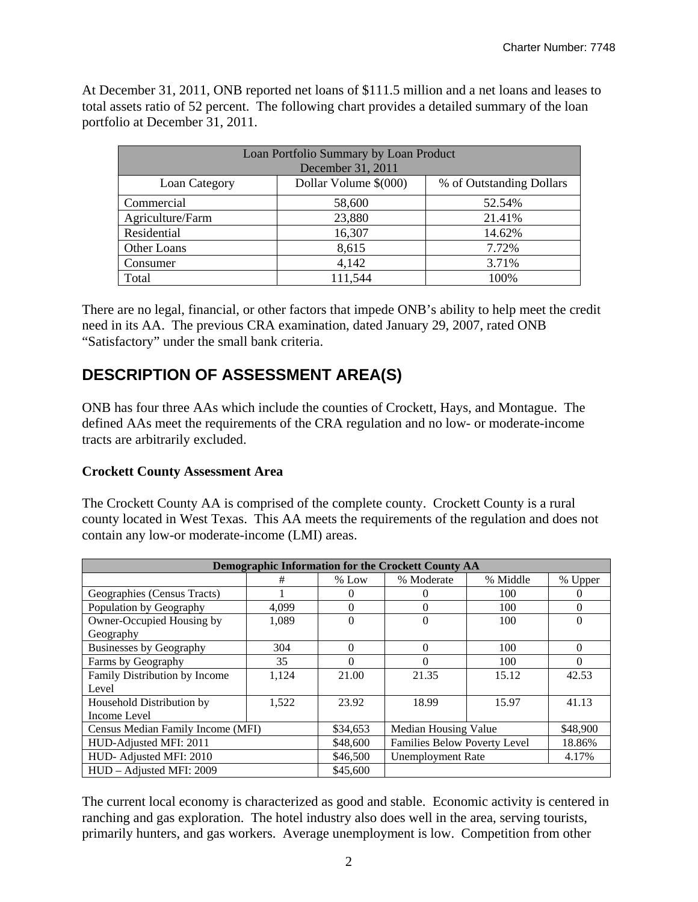At December 31, 2011, ONB reported net loans of \$111.5 million and a net loans and leases to total assets ratio of 52 percent. The following chart provides a detailed summary of the loan portfolio at December 31, 2011.

| Loan Portfolio Summary by Loan Product<br>December 31, 2011 |                       |                          |  |  |  |  |  |
|-------------------------------------------------------------|-----------------------|--------------------------|--|--|--|--|--|
| Loan Category                                               | Dollar Volume \$(000) | % of Outstanding Dollars |  |  |  |  |  |
| Commercial                                                  | 58,600                | 52.54%                   |  |  |  |  |  |
| Agriculture/Farm                                            | 23,880                | 21.41%                   |  |  |  |  |  |
| Residential                                                 | 16,307                | 14.62%                   |  |  |  |  |  |
| Other Loans                                                 | 8,615                 | 7.72%                    |  |  |  |  |  |
| Consumer                                                    | 4,142                 | 3.71%                    |  |  |  |  |  |
| Total                                                       | 111,544               | 100%                     |  |  |  |  |  |

There are no legal, financial, or other factors that impede ONB's ability to help meet the credit need in its AA. The previous CRA examination, dated January 29, 2007, rated ONB "Satisfactory" under the small bank criteria.

# **DESCRIPTION OF ASSESSMENT AREA(S)**

ONB has four three AAs which include the counties of Crockett, Hays, and Montague. The defined AAs meet the requirements of the CRA regulation and no low- or moderate-income tracts are arbitrarily excluded.

# **Crockett County Assessment Area**

The Crockett County AA is comprised of the complete county. Crockett County is a rural county located in West Texas. This AA meets the requirements of the regulation and does not contain any low-or moderate-income (LMI) areas.

|                                   | Demographic Information for the Crockett County AA |          |                              |          |          |  |  |  |  |  |
|-----------------------------------|----------------------------------------------------|----------|------------------------------|----------|----------|--|--|--|--|--|
|                                   | #                                                  | $%$ Low  | % Moderate                   | % Middle | % Upper  |  |  |  |  |  |
| Geographies (Census Tracts)       |                                                    | $\Omega$ | 0                            | 100      | $\Omega$ |  |  |  |  |  |
| Population by Geography           | 4,099                                              | $\Omega$ | 0                            | 100      | $\Omega$ |  |  |  |  |  |
| Owner-Occupied Housing by         | 1,089                                              | $\Omega$ | $\theta$                     | 100      | $\theta$ |  |  |  |  |  |
| Geography                         |                                                    |          |                              |          |          |  |  |  |  |  |
| <b>Businesses by Geography</b>    | 304                                                | $\Omega$ | $\Omega$                     | 100      | $\Omega$ |  |  |  |  |  |
| Farms by Geography                | 35                                                 | 0        | 0                            | 100      | $\Omega$ |  |  |  |  |  |
| Family Distribution by Income     | 1,124                                              | 21.00    | 21.35                        | 15.12    | 42.53    |  |  |  |  |  |
| Level                             |                                                    |          |                              |          |          |  |  |  |  |  |
| Household Distribution by         | 1.522                                              | 23.92    | 18.99                        | 15.97    | 41.13    |  |  |  |  |  |
| Income Level                      |                                                    |          |                              |          |          |  |  |  |  |  |
| Census Median Family Income (MFI) |                                                    | \$34,653 | <b>Median Housing Value</b>  |          | \$48,900 |  |  |  |  |  |
| HUD-Adjusted MFI: 2011            |                                                    | \$48,600 | Families Below Poverty Level |          | 18.86%   |  |  |  |  |  |
| HUD-Adjusted MFI: 2010            |                                                    | \$46,500 | <b>Unemployment Rate</b>     | 4.17%    |          |  |  |  |  |  |
| HUD – Adjusted MFI: 2009          |                                                    | \$45,600 |                              |          |          |  |  |  |  |  |

The current local economy is characterized as good and stable. Economic activity is centered in ranching and gas exploration. The hotel industry also does well in the area, serving tourists, primarily hunters, and gas workers. Average unemployment is low. Competition from other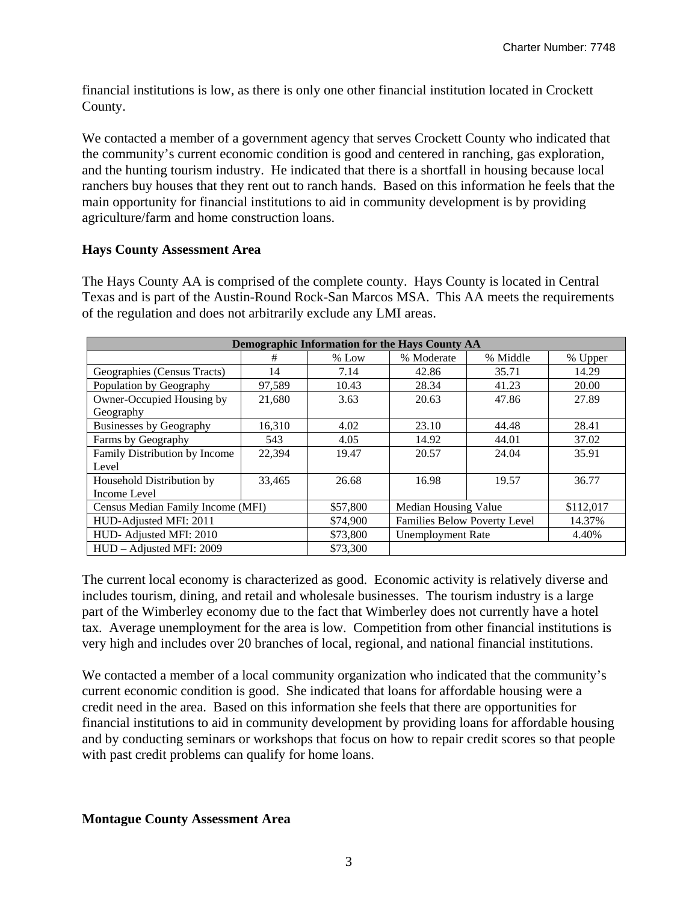financial institutions is low, as there is only one other financial institution located in Crockett County.

We contacted a member of a government agency that serves Crockett County who indicated that the community's current economic condition is good and centered in ranching, gas exploration, and the hunting tourism industry. He indicated that there is a shortfall in housing because local ranchers buy houses that they rent out to ranch hands. Based on this information he feels that the main opportunity for financial institutions to aid in community development is by providing agriculture/farm and home construction loans.

# **Hays County Assessment Area**

| Demographic Information for the Hays County AA |        |          |                              |          |           |  |  |  |  |
|------------------------------------------------|--------|----------|------------------------------|----------|-----------|--|--|--|--|
|                                                | #      | $%$ Low  | % Moderate                   | % Middle | % Upper   |  |  |  |  |
| Geographies (Census Tracts)                    | 14     | 7.14     | 42.86                        | 35.71    | 14.29     |  |  |  |  |
| Population by Geography                        | 97,589 | 10.43    | 28.34                        | 41.23    | 20.00     |  |  |  |  |
| Owner-Occupied Housing by                      | 21,680 | 3.63     | 20.63                        | 47.86    | 27.89     |  |  |  |  |
| Geography                                      |        |          |                              |          |           |  |  |  |  |
| <b>Businesses by Geography</b>                 | 16,310 | 4.02     | 23.10                        | 44.48    | 28.41     |  |  |  |  |
| Farms by Geography                             | 543    | 4.05     | 14.92                        | 44.01    | 37.02     |  |  |  |  |
| Family Distribution by Income                  | 22,394 | 19.47    | 20.57                        | 24.04    | 35.91     |  |  |  |  |
| Level                                          |        |          |                              |          |           |  |  |  |  |
| Household Distribution by                      | 33,465 | 26.68    | 16.98                        | 19.57    | 36.77     |  |  |  |  |
| Income Level                                   |        |          |                              |          |           |  |  |  |  |
| Census Median Family Income (MFI)              |        | \$57,800 | Median Housing Value         |          | \$112,017 |  |  |  |  |
| HUD-Adjusted MFI: 2011                         |        | \$74,900 | Families Below Poverty Level |          | 14.37%    |  |  |  |  |
| HUD-Adjusted MFI: 2010                         |        |          | <b>Unemployment Rate</b>     |          | 4.40%     |  |  |  |  |
| HUD - Adjusted MFI: 2009                       |        | \$73,300 |                              |          |           |  |  |  |  |

The Hays County AA is comprised of the complete county. Hays County is located in Central Texas and is part of the Austin-Round Rock-San Marcos MSA. This AA meets the requirements of the regulation and does not arbitrarily exclude any LMI areas.

The current local economy is characterized as good. Economic activity is relatively diverse and includes tourism, dining, and retail and wholesale businesses. The tourism industry is a large part of the Wimberley economy due to the fact that Wimberley does not currently have a hotel tax. Average unemployment for the area is low. Competition from other financial institutions is very high and includes over 20 branches of local, regional, and national financial institutions.

We contacted a member of a local community organization who indicated that the community's current economic condition is good. She indicated that loans for affordable housing were a credit need in the area. Based on this information she feels that there are opportunities for financial institutions to aid in community development by providing loans for affordable housing and by conducting seminars or workshops that focus on how to repair credit scores so that people with past credit problems can qualify for home loans.

#### **Montague County Assessment Area**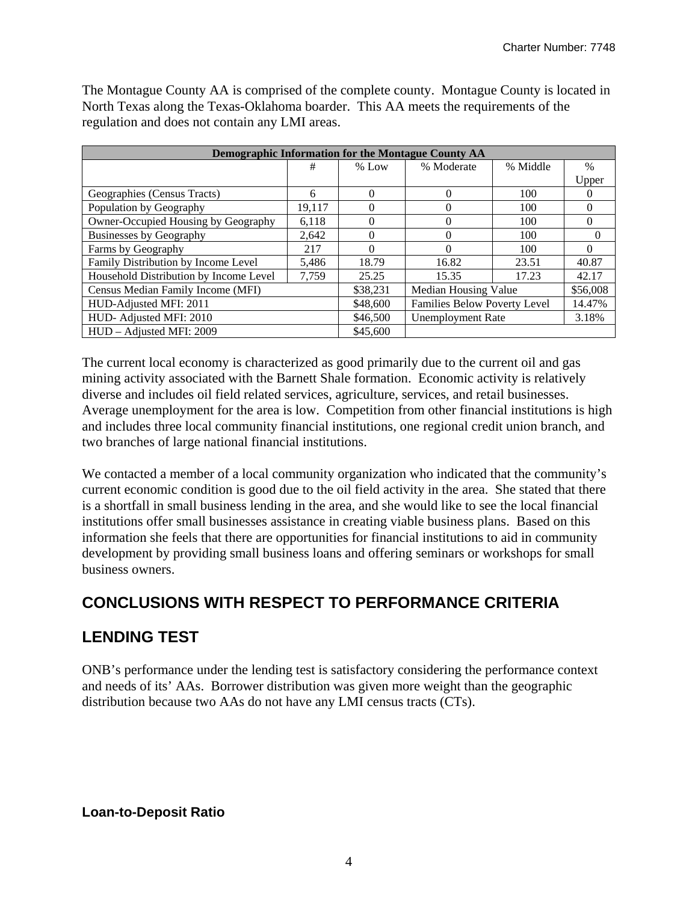| Demographic Information for the Montague County AA |          |                          |                                               |          |          |  |  |  |  |  |
|----------------------------------------------------|----------|--------------------------|-----------------------------------------------|----------|----------|--|--|--|--|--|
|                                                    | #        | $%$ Low                  | % Moderate                                    | % Middle | $\%$     |  |  |  |  |  |
|                                                    |          |                          |                                               |          | Upper    |  |  |  |  |  |
| Geographies (Census Tracts)                        | 6        | $\Omega$                 | 0                                             | 100      | 0        |  |  |  |  |  |
| Population by Geography                            | 19,117   | 0                        | 0                                             | 100      | 0        |  |  |  |  |  |
| Owner-Occupied Housing by Geography                | 6.118    | $\Omega$                 | 0                                             | 100      | 0        |  |  |  |  |  |
| <b>Businesses by Geography</b>                     | 2,642    | 0                        | 0                                             | 100      | $\Omega$ |  |  |  |  |  |
| Farms by Geography                                 | 217      | 0                        | 0                                             | 100      | 0        |  |  |  |  |  |
| Family Distribution by Income Level                | 5.486    | 18.79                    | 16.82                                         | 23.51    | 40.87    |  |  |  |  |  |
| Household Distribution by Income Level             | 7,759    | 25.25                    | 15.35                                         | 17.23    | 42.17    |  |  |  |  |  |
| Census Median Family Income (MFI)                  |          | \$38,231                 | Median Housing Value                          |          | \$56,008 |  |  |  |  |  |
| HUD-Adjusted MFI: 2011                             | \$48,600 |                          | <b>Families Below Poverty Level</b><br>14.47% |          |          |  |  |  |  |  |
| HUD-Adjusted MFI: 2010                             | \$46,500 | <b>Unemployment Rate</b> |                                               | 3.18%    |          |  |  |  |  |  |
| HUD - Adjusted MFI: 2009                           |          | \$45,600                 |                                               |          |          |  |  |  |  |  |

The Montague County AA is comprised of the complete county. Montague County is located in North Texas along the Texas-Oklahoma boarder. This AA meets the requirements of the regulation and does not contain any LMI areas.

The current local economy is characterized as good primarily due to the current oil and gas mining activity associated with the Barnett Shale formation. Economic activity is relatively diverse and includes oil field related services, agriculture, services, and retail businesses. Average unemployment for the area is low. Competition from other financial institutions is high and includes three local community financial institutions, one regional credit union branch, and two branches of large national financial institutions.

We contacted a member of a local community organization who indicated that the community's current economic condition is good due to the oil field activity in the area. She stated that there is a shortfall in small business lending in the area, and she would like to see the local financial institutions offer small businesses assistance in creating viable business plans. Based on this information she feels that there are opportunities for financial institutions to aid in community development by providing small business loans and offering seminars or workshops for small business owners.

# **CONCLUSIONS WITH RESPECT TO PERFORMANCE CRITERIA**

# **LENDING TEST**

ONB's performance under the lending test is satisfactory considering the performance context and needs of its' AAs. Borrower distribution was given more weight than the geographic distribution because two AAs do not have any LMI census tracts (CTs).

# **Loan-to-Deposit Ratio**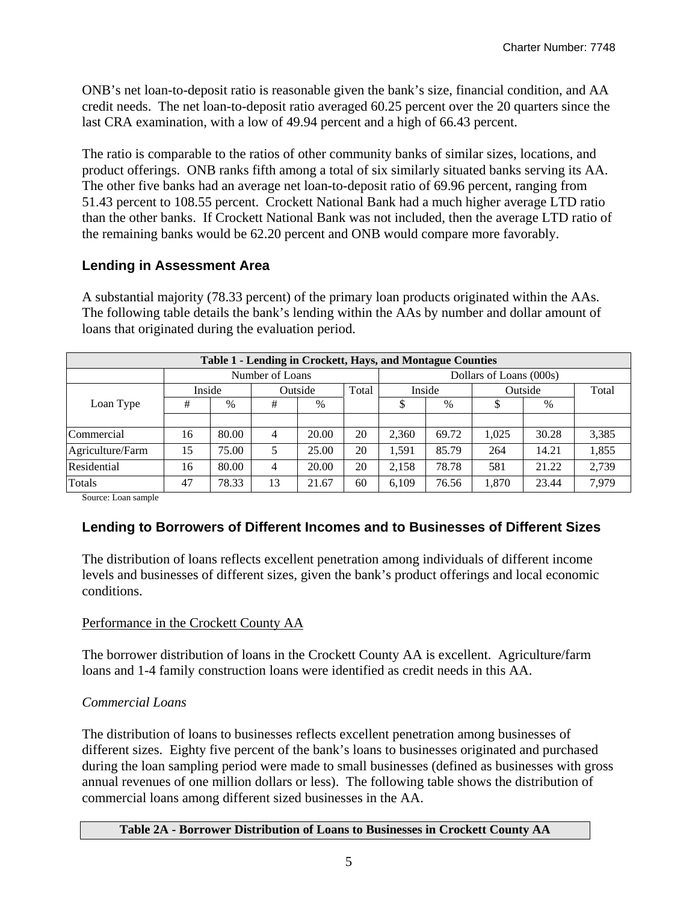ONB's net loan-to-deposit ratio is reasonable given the bank's size, financial condition, and AA credit needs. The net loan-to-deposit ratio averaged 60.25 percent over the 20 quarters since the last CRA examination, with a low of 49.94 percent and a high of 66.43 percent.

The ratio is comparable to the ratios of other community banks of similar sizes, locations, and product offerings. ONB ranks fifth among a total of six similarly situated banks serving its AA. The other five banks had an average net loan-to-deposit ratio of 69.96 percent, ranging from 51.43 percent to 108.55 percent. Crockett National Bank had a much higher average LTD ratio than the other banks. If Crockett National Bank was not included, then the average LTD ratio of the remaining banks would be 62.20 percent and ONB would compare more favorably.

# **Lending in Assessment Area**

A substantial majority (78.33 percent) of the primary loan products originated within the AAs. The following table details the bank's lending within the AAs by number and dollar amount of loans that originated during the evaluation period.

| Table 1 - Lending in Crockett, Hays, and Montague Counties |        |       |                 |         |       |       |        |                         |         |       |  |
|------------------------------------------------------------|--------|-------|-----------------|---------|-------|-------|--------|-------------------------|---------|-------|--|
|                                                            |        |       | Number of Loans |         |       |       |        | Dollars of Loans (000s) |         |       |  |
|                                                            | Inside |       |                 | Outside | Total |       | Inside |                         | Outside | Total |  |
| Loan Type                                                  | #      | $\%$  | #               | $\%$    |       | \$    | $\%$   |                         | $\%$    |       |  |
|                                                            |        |       |                 |         |       |       |        |                         |         |       |  |
| Commercial                                                 | 16     | 80.00 | 4               | 20.00   | 20    | 2.360 | 69.72  | 1.025                   | 30.28   | 3,385 |  |
| Agriculture/Farm                                           | 15     | 75.00 |                 | 25.00   | 20    | 1.591 | 85.79  | 264                     | 14.21   | 1,855 |  |
| Residential                                                | 16     | 80.00 | 4               | 20.00   | 20    | 2.158 | 78.78  | 581                     | 21.22   | 2,739 |  |
| Totals                                                     | 47     | 78.33 | 13              | 21.67   | 60    | 6,109 | 76.56  | 1.870                   | 23.44   | 7,979 |  |

Source: Loan sample

# **Lending to Borrowers of Different Incomes and to Businesses of Different Sizes**

The distribution of loans reflects excellent penetration among individuals of different income levels and businesses of different sizes, given the bank's product offerings and local economic conditions.

#### Performance in the Crockett County AA

The borrower distribution of loans in the Crockett County AA is excellent. Agriculture/farm loans and 1-4 family construction loans were identified as credit needs in this AA.

#### *Commercial Loans*

The distribution of loans to businesses reflects excellent penetration among businesses of different sizes. Eighty five percent of the bank's loans to businesses originated and purchased during the loan sampling period were made to small businesses (defined as businesses with gross annual revenues of one million dollars or less). The following table shows the distribution of commercial loans among different sized businesses in the AA.

#### **Table 2A - Borrower Distribution of Loans to Businesses in Crockett County AA**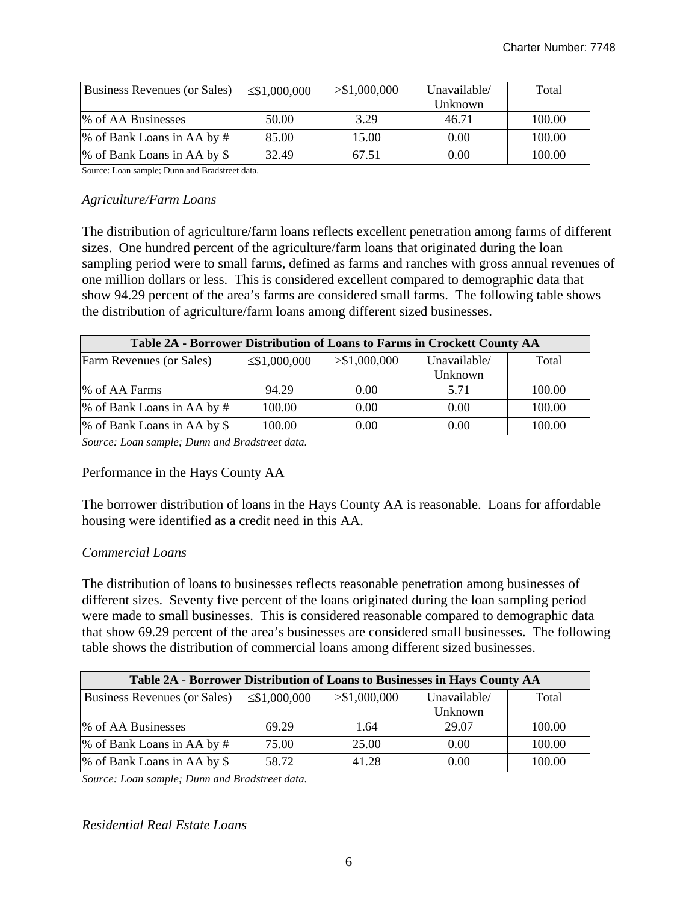| Business Revenues (or Sales) | $\leq$ \$1,000,000 | > \$1,000,000 | Unavailable/ | Total  |
|------------------------------|--------------------|---------------|--------------|--------|
|                              |                    |               | Unknown      |        |
| % of AA Businesses           | 50.00              | 3.29          | 46.71        | 100.00 |
| % of Bank Loans in AA by #   | 85.00              | 15.00         | 0.00         | 100.00 |
| % of Bank Loans in AA by \$  | 32.49              | 67.51         | 0.00         | 100.00 |

Source: Loan sample; Dunn and Bradstreet data.

#### *Agriculture/Farm Loans*

The distribution of agriculture/farm loans reflects excellent penetration among farms of different sizes. One hundred percent of the agriculture/farm loans that originated during the loan sampling period were to small farms, defined as farms and ranches with gross annual revenues of one million dollars or less. This is considered excellent compared to demographic data that show 94.29 percent of the area's farms are considered small farms. The following table shows the distribution of agriculture/farm loans among different sized businesses.

| Table 2A - Borrower Distribution of Loans to Farms in Crockett County AA |                    |               |              |        |  |  |  |  |
|--------------------------------------------------------------------------|--------------------|---------------|--------------|--------|--|--|--|--|
| Farm Revenues (or Sales)                                                 | $\leq$ \$1,000,000 | > \$1,000,000 | Unavailable/ | Total  |  |  |  |  |
|                                                                          |                    |               | Unknown      |        |  |  |  |  |
| % of AA Farms                                                            | 94.29              | 0.00          | 5.71         | 100.00 |  |  |  |  |
| % of Bank Loans in AA by #                                               | 100.00             | 0.00          | 0.00         | 100.00 |  |  |  |  |
| % of Bank Loans in AA by \$                                              | 100.00             | 0.00          | 0.00         | 100.00 |  |  |  |  |

*Source: Loan sample; Dunn and Bradstreet data.* 

#### Performance in the Hays County AA

The borrower distribution of loans in the Hays County AA is reasonable. Loans for affordable housing were identified as a credit need in this AA.

#### *Commercial Loans*

The distribution of loans to businesses reflects reasonable penetration among businesses of different sizes. Seventy five percent of the loans originated during the loan sampling period were made to small businesses. This is considered reasonable compared to demographic data that show 69.29 percent of the area's businesses are considered small businesses. The following table shows the distribution of commercial loans among different sized businesses.

| Table 2A - Borrower Distribution of Loans to Businesses in Hays County AA |                    |               |              |        |  |  |  |  |  |
|---------------------------------------------------------------------------|--------------------|---------------|--------------|--------|--|--|--|--|--|
| Business Revenues (or Sales)                                              | $\leq$ \$1,000,000 | > \$1,000,000 | Unavailable/ | Total  |  |  |  |  |  |
|                                                                           |                    |               | Unknown      |        |  |  |  |  |  |
| % of AA Businesses                                                        | 69.29              | 1.64          | 29.07        | 100.00 |  |  |  |  |  |
| % of Bank Loans in AA by #                                                | 75.00              | 25.00         | 0.00         | 100.00 |  |  |  |  |  |
| % of Bank Loans in AA by \$                                               | 58.72              | 41.28         | 0.00         | 100.00 |  |  |  |  |  |

*Source: Loan sample; Dunn and Bradstreet data.* 

#### *Residential Real Estate Loans*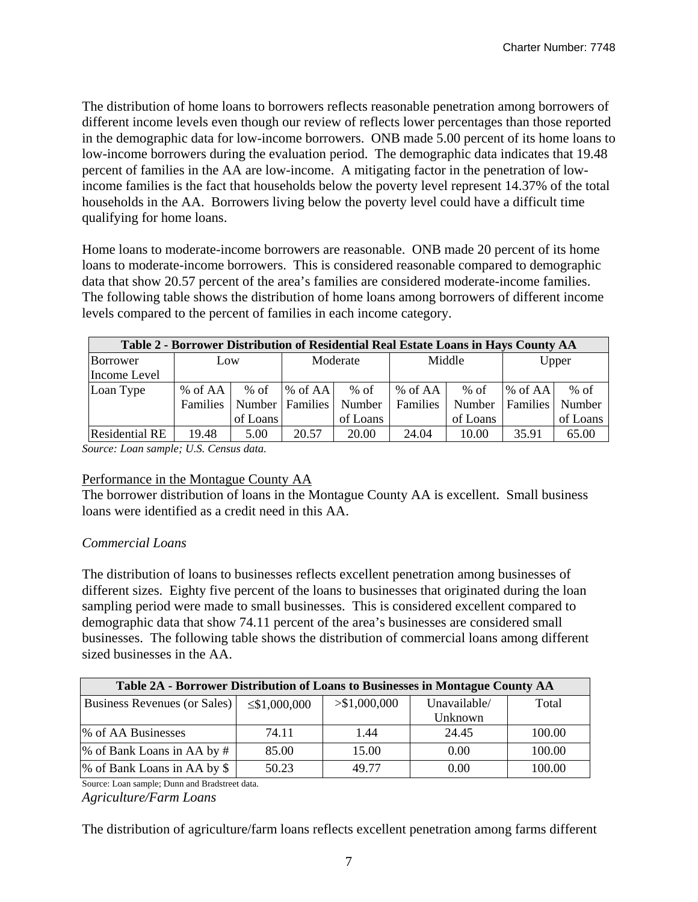The distribution of home loans to borrowers reflects reasonable penetration among borrowers of different income levels even though our review of reflects lower percentages than those reported in the demographic data for low-income borrowers. ONB made 5.00 percent of its home loans to low-income borrowers during the evaluation period. The demographic data indicates that 19.48 percent of families in the AA are low-income. A mitigating factor in the penetration of lowincome families is the fact that households below the poverty level represent 14.37% of the total households in the AA. Borrowers living below the poverty level could have a difficult time qualifying for home loans.

Home loans to moderate-income borrowers are reasonable. ONB made 20 percent of its home loans to moderate-income borrowers. This is considered reasonable compared to demographic data that show 20.57 percent of the area's families are considered moderate-income families. The following table shows the distribution of home loans among borrowers of different income levels compared to the percent of families in each income category.

| Table 2 - Borrower Distribution of Residential Real Estate Loans in Hays County AA |          |          |                 |          |          |          |                 |          |  |
|------------------------------------------------------------------------------------|----------|----------|-----------------|----------|----------|----------|-----------------|----------|--|
| Borrower                                                                           | Low      |          |                 | Moderate |          | Middle   |                 | Upper    |  |
| Income Level                                                                       |          |          |                 |          |          |          |                 |          |  |
| Loan Type                                                                          | % of AA  | $%$ of   | $%$ of AA       | $%$ of   | % of AA  | % of     | $%$ of AA       | $%$ of   |  |
|                                                                                    | Families |          | Number Families | Number   | Families | Number   | <b>Families</b> | Number   |  |
|                                                                                    |          | of Loans |                 | of Loans |          | of Loans |                 | of Loans |  |
| <b>Residential RE</b>                                                              | 19.48    | 5.00     | 20.57           | 20.00    | 24.04    | 10.00    | 35.91           | 65.00    |  |

*Source: Loan sample; U.S. Census data.* 

#### Performance in the Montague County AA

The borrower distribution of loans in the Montague County AA is excellent. Small business loans were identified as a credit need in this AA.

# *Commercial Loans*

The distribution of loans to businesses reflects excellent penetration among businesses of different sizes. Eighty five percent of the loans to businesses that originated during the loan sampling period were made to small businesses. This is considered excellent compared to demographic data that show 74.11 percent of the area's businesses are considered small businesses. The following table shows the distribution of commercial loans among different sized businesses in the AA.

| Table 2A - Borrower Distribution of Loans to Businesses in Montague County AA |                    |               |              |        |  |  |  |  |  |
|-------------------------------------------------------------------------------|--------------------|---------------|--------------|--------|--|--|--|--|--|
| Business Revenues (or Sales)                                                  | $\leq$ \$1,000,000 | > \$1,000,000 | Unavailable/ | Total  |  |  |  |  |  |
|                                                                               |                    |               | Unknown      |        |  |  |  |  |  |
| % of AA Businesses                                                            | 74.11              | 1.44          | 24.45        | 100.00 |  |  |  |  |  |
| % of Bank Loans in AA by #                                                    | 85.00              | 15.00         | 0.00         | 100.00 |  |  |  |  |  |
| % of Bank Loans in AA by \$                                                   | 50.23              | 49.77         | 0.00         | 100.00 |  |  |  |  |  |

Source: Loan sample; Dunn and Bradstreet data.

*Agriculture/Farm Loans* 

The distribution of agriculture/farm loans reflects excellent penetration among farms different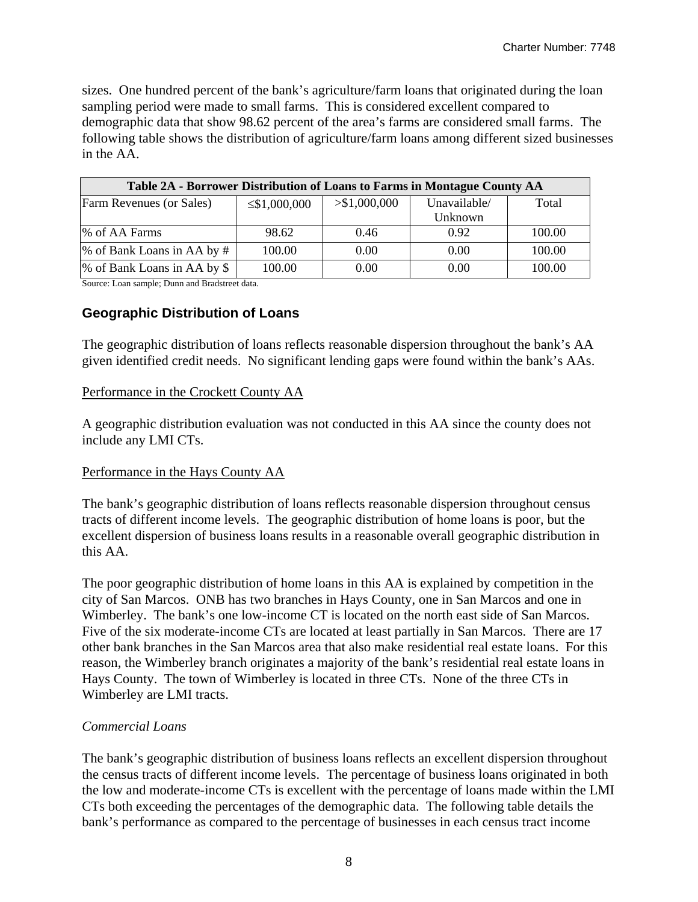sizes. One hundred percent of the bank's agriculture/farm loans that originated during the loan sampling period were made to small farms. This is considered excellent compared to demographic data that show 98.62 percent of the area's farms are considered small farms. The following table shows the distribution of agriculture/farm loans among different sized businesses in the AA.

| Table 2A - Borrower Distribution of Loans to Farms in Montague County AA |                    |               |              |        |  |  |  |  |
|--------------------------------------------------------------------------|--------------------|---------------|--------------|--------|--|--|--|--|
| <b>Farm Revenues (or Sales)</b>                                          | $\leq$ \$1,000,000 | > \$1,000,000 | Unavailable/ | Total  |  |  |  |  |
|                                                                          |                    |               | Unknown      |        |  |  |  |  |
| % of AA Farms                                                            | 98.62              | 0.46          | 0.92         | 100.00 |  |  |  |  |
| % of Bank Loans in AA by #                                               | 100.00             | 0.00          | 0.00         | 100.00 |  |  |  |  |
| % of Bank Loans in AA by \$                                              | 100.00             | 0.00          | 0.00         | 100.00 |  |  |  |  |

Source: Loan sample; Dunn and Bradstreet data.

# **Geographic Distribution of Loans**

The geographic distribution of loans reflects reasonable dispersion throughout the bank's AA given identified credit needs. No significant lending gaps were found within the bank's AAs.

# Performance in the Crockett County AA

A geographic distribution evaluation was not conducted in this AA since the county does not include any LMI CTs.

# Performance in the Hays County AA

The bank's geographic distribution of loans reflects reasonable dispersion throughout census tracts of different income levels. The geographic distribution of home loans is poor, but the excellent dispersion of business loans results in a reasonable overall geographic distribution in this AA.

The poor geographic distribution of home loans in this AA is explained by competition in the city of San Marcos. ONB has two branches in Hays County, one in San Marcos and one in Wimberley. The bank's one low-income CT is located on the north east side of San Marcos. Five of the six moderate-income CTs are located at least partially in San Marcos. There are 17 other bank branches in the San Marcos area that also make residential real estate loans. For this reason, the Wimberley branch originates a majority of the bank's residential real estate loans in Hays County. The town of Wimberley is located in three CTs. None of the three CTs in Wimberley are LMI tracts.

# *Commercial Loans*

The bank's geographic distribution of business loans reflects an excellent dispersion throughout the census tracts of different income levels. The percentage of business loans originated in both the low and moderate-income CTs is excellent with the percentage of loans made within the LMI CTs both exceeding the percentages of the demographic data. The following table details the bank's performance as compared to the percentage of businesses in each census tract income